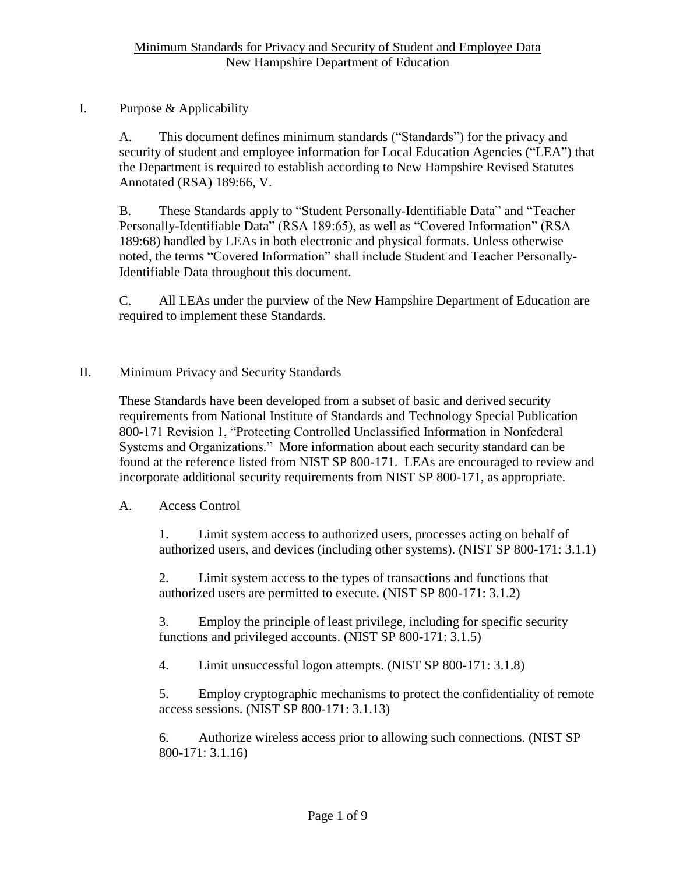## I. Purpose & Applicability

A. This document defines minimum standards ("Standards") for the privacy and security of student and employee information for Local Education Agencies ("LEA") that the Department is required to establish according to New Hampshire Revised Statutes Annotated (RSA) 189:66, V.

B. These Standards apply to "Student Personally-Identifiable Data" and "Teacher Personally-Identifiable Data" (RSA 189:65), as well as "Covered Information" (RSA 189:68) handled by LEAs in both electronic and physical formats. Unless otherwise noted, the terms "Covered Information" shall include Student and Teacher Personally-Identifiable Data throughout this document.

C. All LEAs under the purview of the New Hampshire Department of Education are required to implement these Standards.

## II. Minimum Privacy and Security Standards

These Standards have been developed from a subset of basic and derived security requirements from National Institute of Standards and Technology Special Publication 800-171 Revision 1, "Protecting Controlled Unclassified Information in Nonfederal Systems and Organizations." More information about each security standard can be found at the reference listed from NIST SP 800-171. LEAs are encouraged to review and incorporate additional security requirements from NIST SP 800-171, as appropriate.

## A. Access Control

1. Limit system access to authorized users, processes acting on behalf of authorized users, and devices (including other systems). (NIST SP 800-171: 3.1.1)

2. Limit system access to the types of transactions and functions that authorized users are permitted to execute. (NIST SP 800-171: 3.1.2)

3. Employ the principle of least privilege, including for specific security functions and privileged accounts. (NIST SP 800-171: 3.1.5)

4. Limit unsuccessful logon attempts. (NIST SP 800-171: 3.1.8)

5. Employ cryptographic mechanisms to protect the confidentiality of remote access sessions. (NIST SP 800-171: 3.1.13)

6. Authorize wireless access prior to allowing such connections. (NIST SP 800-171: 3.1.16)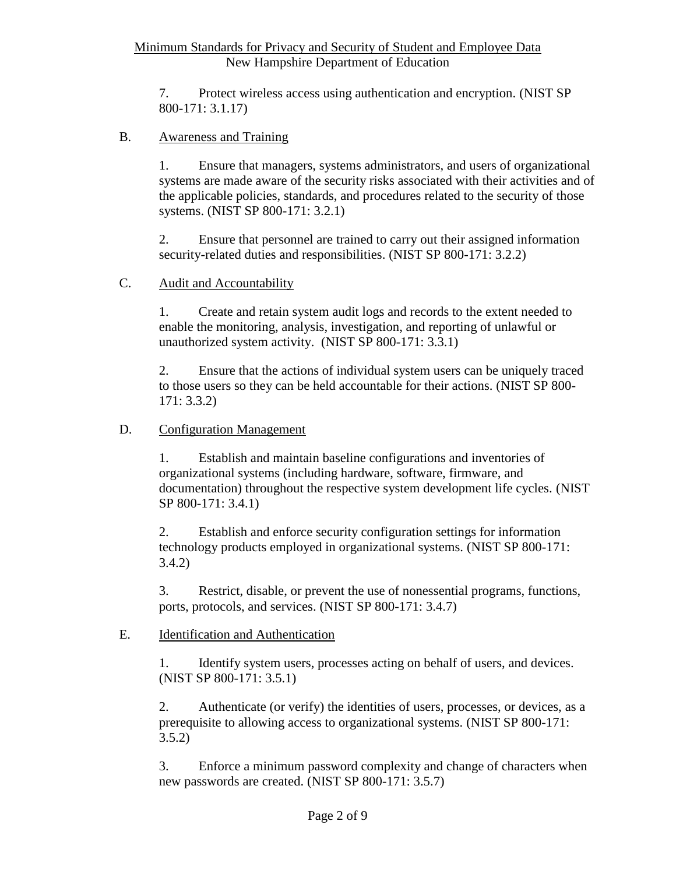7. Protect wireless access using authentication and encryption. (NIST SP 800-171: 3.1.17)

### B. Awareness and Training

1. Ensure that managers, systems administrators, and users of organizational systems are made aware of the security risks associated with their activities and of the applicable policies, standards, and procedures related to the security of those systems. (NIST SP 800-171: 3.2.1)

2. Ensure that personnel are trained to carry out their assigned information security-related duties and responsibilities. (NIST SP 800-171: 3.2.2)

### C. Audit and Accountability

1. Create and retain system audit logs and records to the extent needed to enable the monitoring, analysis, investigation, and reporting of unlawful or unauthorized system activity. (NIST SP 800-171: 3.3.1)

2. Ensure that the actions of individual system users can be uniquely traced to those users so they can be held accountable for their actions. (NIST SP 800- 171: 3.3.2)

### D. Configuration Management

1. Establish and maintain baseline configurations and inventories of organizational systems (including hardware, software, firmware, and documentation) throughout the respective system development life cycles. (NIST SP 800-171: 3.4.1)

2. Establish and enforce security configuration settings for information technology products employed in organizational systems. (NIST SP 800-171: 3.4.2)

3. Restrict, disable, or prevent the use of nonessential programs, functions, ports, protocols, and services. (NIST SP 800-171: 3.4.7)

## E. Identification and Authentication

1. Identify system users, processes acting on behalf of users, and devices. (NIST SP 800-171: 3.5.1)

2. Authenticate (or verify) the identities of users, processes, or devices, as a prerequisite to allowing access to organizational systems. (NIST SP 800-171: 3.5.2)

3. Enforce a minimum password complexity and change of characters when new passwords are created. (NIST SP 800-171: 3.5.7)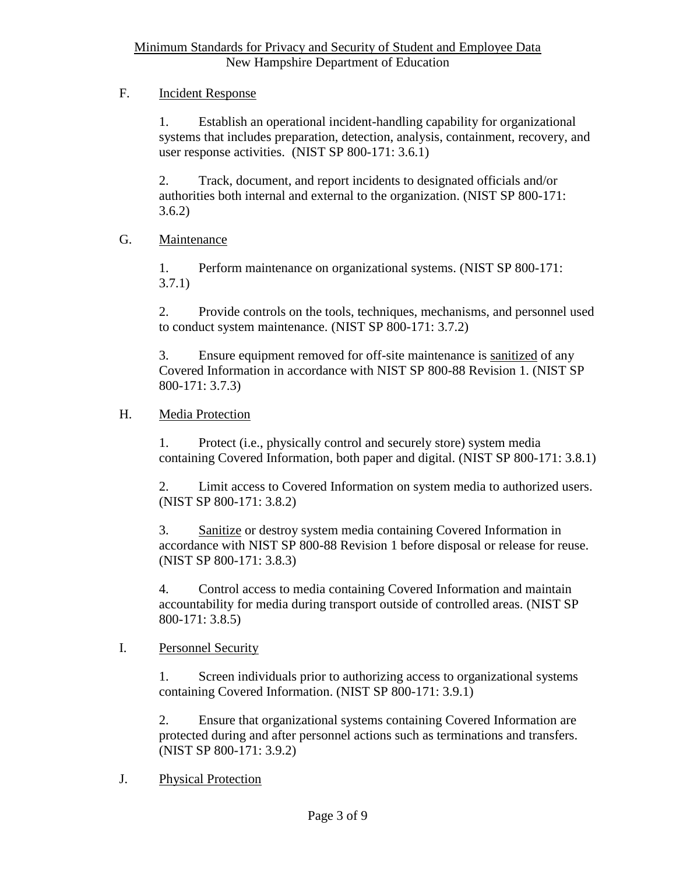## F. Incident Response

1. Establish an operational incident-handling capability for organizational systems that includes preparation, detection, analysis, containment, recovery, and user response activities. (NIST SP 800-171: 3.6.1)

2. Track, document, and report incidents to designated officials and/or authorities both internal and external to the organization. (NIST SP 800-171: 3.6.2)

# G. Maintenance

1. Perform maintenance on organizational systems. (NIST SP 800-171: 3.7.1)

2. Provide controls on the tools, techniques, mechanisms, and personnel used to conduct system maintenance. (NIST SP 800-171: 3.7.2)

3. Ensure equipment removed for off-site maintenance is sanitized of any Covered Information in accordance with NIST SP 800-88 Revision 1. (NIST SP 800-171: 3.7.3)

# H. Media Protection

1. Protect (i.e., physically control and securely store) system media containing Covered Information, both paper and digital. (NIST SP 800-171: 3.8.1)

2. Limit access to Covered Information on system media to authorized users. (NIST SP 800-171: 3.8.2)

3. Sanitize or destroy system media containing Covered Information in accordance with NIST SP 800-88 Revision 1 before disposal or release for reuse. (NIST SP 800-171: 3.8.3)

4. Control access to media containing Covered Information and maintain accountability for media during transport outside of controlled areas. (NIST SP 800-171: 3.8.5)

# I. Personnel Security

1. Screen individuals prior to authorizing access to organizational systems containing Covered Information. (NIST SP 800-171: 3.9.1)

2. Ensure that organizational systems containing Covered Information are protected during and after personnel actions such as terminations and transfers. (NIST SP 800-171: 3.9.2)

J. Physical Protection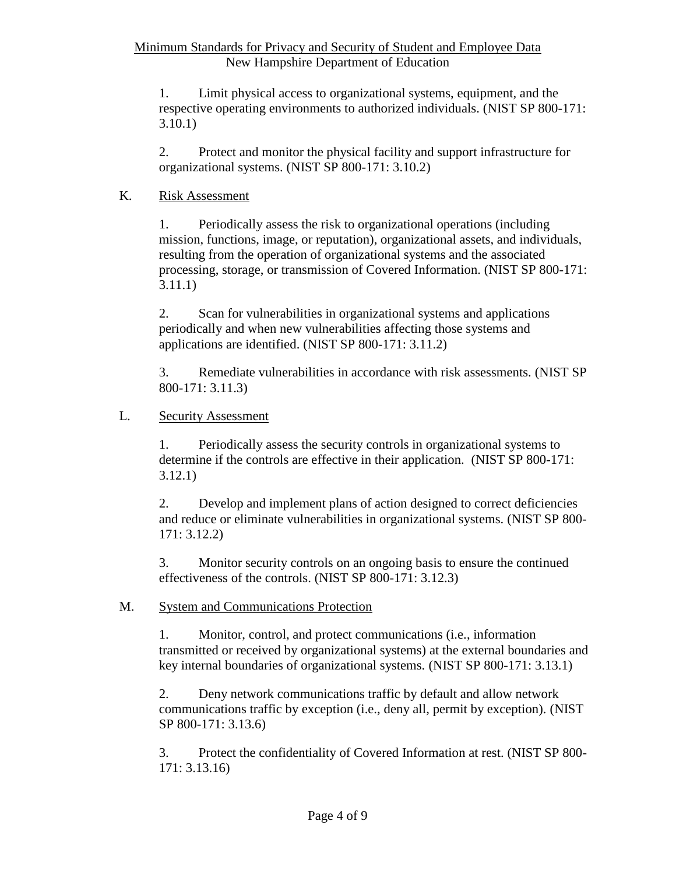1. Limit physical access to organizational systems, equipment, and the respective operating environments to authorized individuals. (NIST SP 800-171: 3.10.1)

2. Protect and monitor the physical facility and support infrastructure for organizational systems. (NIST SP 800-171: 3.10.2)

### K. Risk Assessment

1. Periodically assess the risk to organizational operations (including mission, functions, image, or reputation), organizational assets, and individuals, resulting from the operation of organizational systems and the associated processing, storage, or transmission of Covered Information. (NIST SP 800-171: 3.11.1)

2. Scan for vulnerabilities in organizational systems and applications periodically and when new vulnerabilities affecting those systems and applications are identified. (NIST SP 800-171: 3.11.2)

3. Remediate vulnerabilities in accordance with risk assessments. (NIST SP 800-171: 3.11.3)

### L. Security Assessment

1. Periodically assess the security controls in organizational systems to determine if the controls are effective in their application. (NIST SP 800-171: 3.12.1)

2. Develop and implement plans of action designed to correct deficiencies and reduce or eliminate vulnerabilities in organizational systems. (NIST SP 800- 171: 3.12.2)

3. Monitor security controls on an ongoing basis to ensure the continued effectiveness of the controls. (NIST SP 800-171: 3.12.3)

#### M. System and Communications Protection

1. Monitor, control, and protect communications (i.e., information transmitted or received by organizational systems) at the external boundaries and key internal boundaries of organizational systems. (NIST SP 800-171: 3.13.1)

2. Deny network communications traffic by default and allow network communications traffic by exception (i.e., deny all, permit by exception). (NIST SP 800-171: 3.13.6)

3. Protect the confidentiality of Covered Information at rest. (NIST SP 800- 171: 3.13.16)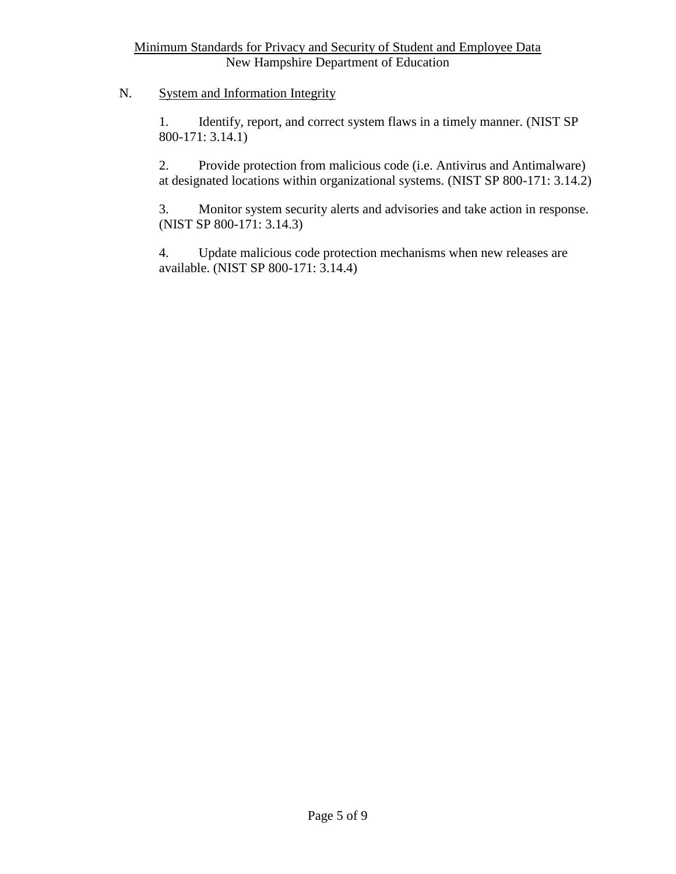### N. System and Information Integrity

1. Identify, report, and correct system flaws in a timely manner. (NIST SP 800-171: 3.14.1)

2. Provide protection from malicious code (i.e. Antivirus and Antimalware) at designated locations within organizational systems. (NIST SP 800-171: 3.14.2)

3. Monitor system security alerts and advisories and take action in response. (NIST SP 800-171: 3.14.3)

4. Update malicious code protection mechanisms when new releases are available. (NIST SP 800-171: 3.14.4)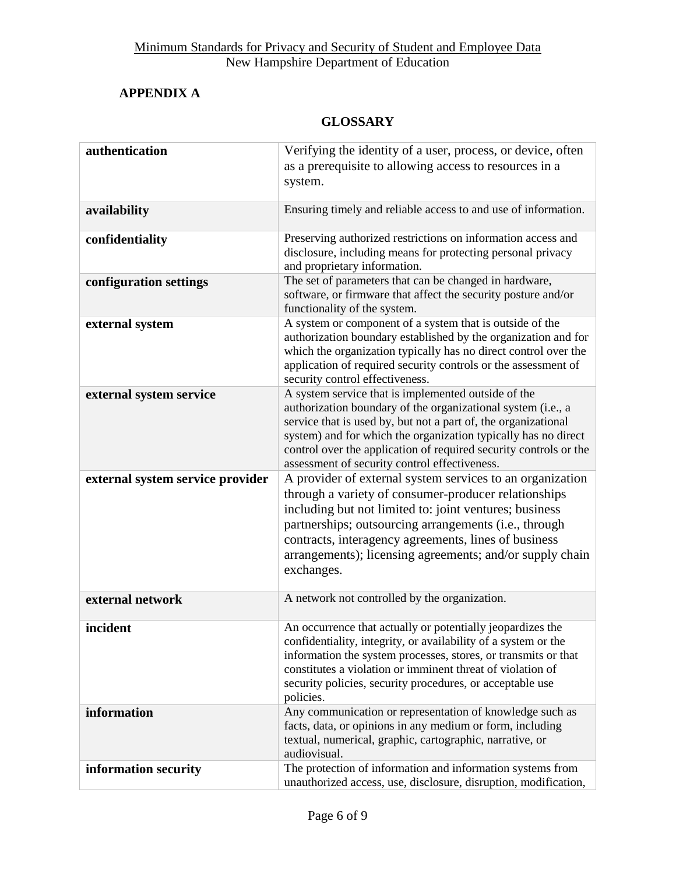# **APPENDIX A**

| authentication                   | Verifying the identity of a user, process, or device, often<br>as a prerequisite to allowing access to resources in a<br>system.                                                                                                                                                                                                                                              |
|----------------------------------|-------------------------------------------------------------------------------------------------------------------------------------------------------------------------------------------------------------------------------------------------------------------------------------------------------------------------------------------------------------------------------|
| availability                     | Ensuring timely and reliable access to and use of information.                                                                                                                                                                                                                                                                                                                |
| confidentiality                  | Preserving authorized restrictions on information access and<br>disclosure, including means for protecting personal privacy<br>and proprietary information.                                                                                                                                                                                                                   |
| configuration settings           | The set of parameters that can be changed in hardware,<br>software, or firmware that affect the security posture and/or<br>functionality of the system.                                                                                                                                                                                                                       |
| external system                  | A system or component of a system that is outside of the<br>authorization boundary established by the organization and for<br>which the organization typically has no direct control over the<br>application of required security controls or the assessment of<br>security control effectiveness.                                                                            |
| external system service          | A system service that is implemented outside of the<br>authorization boundary of the organizational system (i.e., a<br>service that is used by, but not a part of, the organizational<br>system) and for which the organization typically has no direct<br>control over the application of required security controls or the<br>assessment of security control effectiveness. |
| external system service provider | A provider of external system services to an organization<br>through a variety of consumer-producer relationships<br>including but not limited to: joint ventures; business<br>partnerships; outsourcing arrangements (i.e., through<br>contracts, interagency agreements, lines of business<br>arrangements); licensing agreements; and/or supply chain<br>exchanges.        |
| external network                 | A network not controlled by the organization.                                                                                                                                                                                                                                                                                                                                 |
| incident                         | An occurrence that actually or potentially jeopardizes the<br>confidentiality, integrity, or availability of a system or the<br>information the system processes, stores, or transmits or that<br>constitutes a violation or imminent threat of violation of<br>security policies, security procedures, or acceptable use<br>policies.                                        |
| information                      | Any communication or representation of knowledge such as<br>facts, data, or opinions in any medium or form, including<br>textual, numerical, graphic, cartographic, narrative, or<br>audiovisual.                                                                                                                                                                             |
| information security             | The protection of information and information systems from<br>unauthorized access, use, disclosure, disruption, modification,                                                                                                                                                                                                                                                 |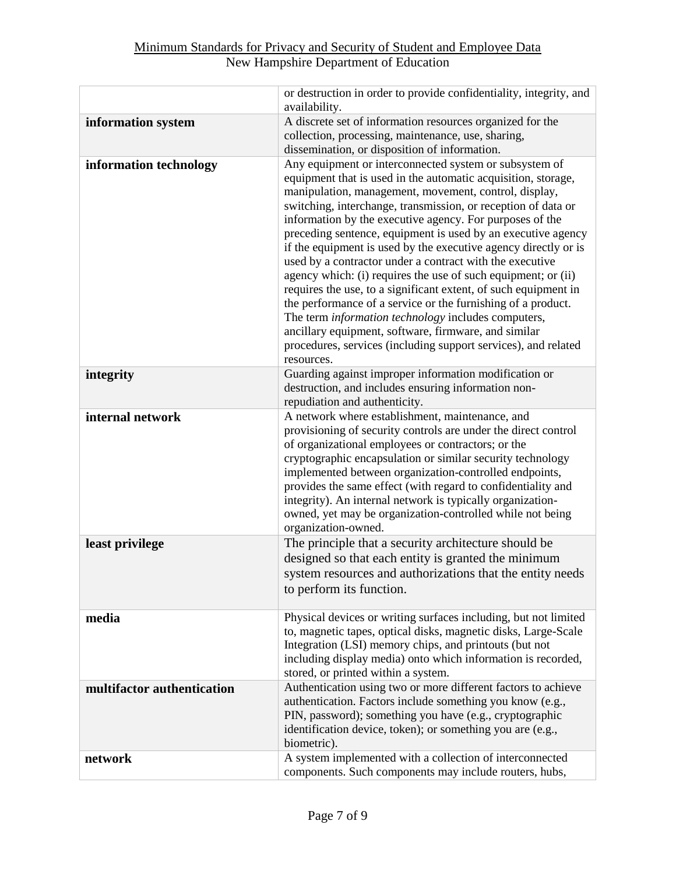|                            | or destruction in order to provide confidentiality, integrity, and<br>availability.                                                                                                                                                                                                                                                                                                                                                                                                                                                                                                                                                                                                                                                                                                                                                                                                                             |
|----------------------------|-----------------------------------------------------------------------------------------------------------------------------------------------------------------------------------------------------------------------------------------------------------------------------------------------------------------------------------------------------------------------------------------------------------------------------------------------------------------------------------------------------------------------------------------------------------------------------------------------------------------------------------------------------------------------------------------------------------------------------------------------------------------------------------------------------------------------------------------------------------------------------------------------------------------|
| information system         | A discrete set of information resources organized for the<br>collection, processing, maintenance, use, sharing,<br>dissemination, or disposition of information.                                                                                                                                                                                                                                                                                                                                                                                                                                                                                                                                                                                                                                                                                                                                                |
| information technology     | Any equipment or interconnected system or subsystem of<br>equipment that is used in the automatic acquisition, storage,<br>manipulation, management, movement, control, display,<br>switching, interchange, transmission, or reception of data or<br>information by the executive agency. For purposes of the<br>preceding sentence, equipment is used by an executive agency<br>if the equipment is used by the executive agency directly or is<br>used by a contractor under a contract with the executive<br>agency which: (i) requires the use of such equipment; or (ii)<br>requires the use, to a significant extent, of such equipment in<br>the performance of a service or the furnishing of a product.<br>The term information technology includes computers,<br>ancillary equipment, software, firmware, and similar<br>procedures, services (including support services), and related<br>resources. |
| integrity                  | Guarding against improper information modification or<br>destruction, and includes ensuring information non-<br>repudiation and authenticity.                                                                                                                                                                                                                                                                                                                                                                                                                                                                                                                                                                                                                                                                                                                                                                   |
| internal network           | A network where establishment, maintenance, and<br>provisioning of security controls are under the direct control<br>of organizational employees or contractors; or the<br>cryptographic encapsulation or similar security technology<br>implemented between organization-controlled endpoints,<br>provides the same effect (with regard to confidentiality and<br>integrity). An internal network is typically organization-<br>owned, yet may be organization-controlled while not being<br>organization-owned.                                                                                                                                                                                                                                                                                                                                                                                               |
| least privilege            | The principle that a security architecture should be<br>designed so that each entity is granted the minimum<br>system resources and authorizations that the entity needs<br>to perform its function.                                                                                                                                                                                                                                                                                                                                                                                                                                                                                                                                                                                                                                                                                                            |
| media                      | Physical devices or writing surfaces including, but not limited<br>to, magnetic tapes, optical disks, magnetic disks, Large-Scale<br>Integration (LSI) memory chips, and printouts (but not<br>including display media) onto which information is recorded,<br>stored, or printed within a system.                                                                                                                                                                                                                                                                                                                                                                                                                                                                                                                                                                                                              |
| multifactor authentication | Authentication using two or more different factors to achieve<br>authentication. Factors include something you know (e.g.,<br>PIN, password); something you have (e.g., cryptographic<br>identification device, token); or something you are (e.g.,<br>biometric).                                                                                                                                                                                                                                                                                                                                                                                                                                                                                                                                                                                                                                              |
| network                    | A system implemented with a collection of interconnected<br>components. Such components may include routers, hubs,                                                                                                                                                                                                                                                                                                                                                                                                                                                                                                                                                                                                                                                                                                                                                                                              |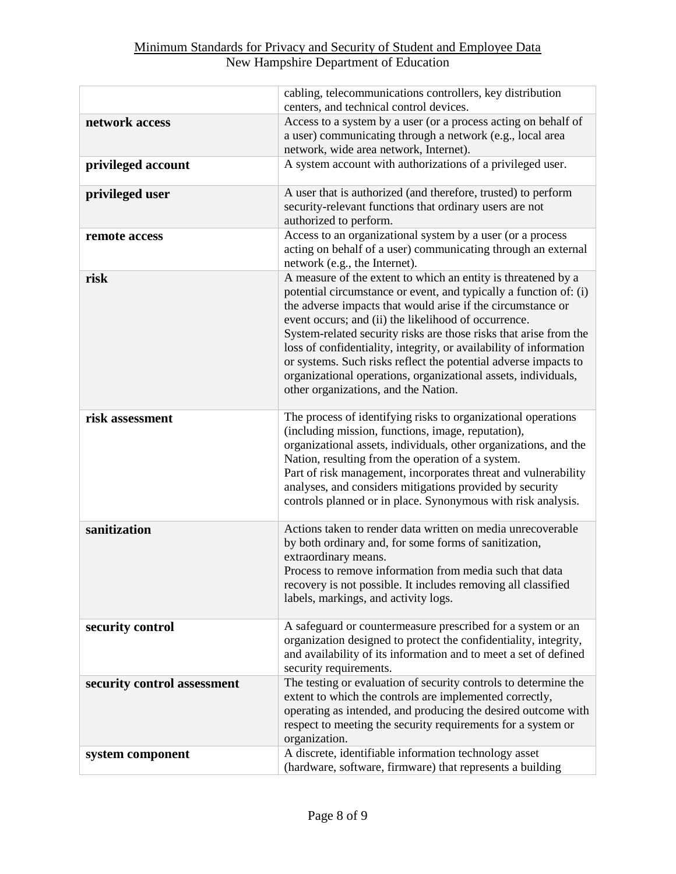|                             | cabling, telecommunications controllers, key distribution<br>centers, and technical control devices.                                                                                                                                                                                                                                                                                                                                                                                                                                                                              |
|-----------------------------|-----------------------------------------------------------------------------------------------------------------------------------------------------------------------------------------------------------------------------------------------------------------------------------------------------------------------------------------------------------------------------------------------------------------------------------------------------------------------------------------------------------------------------------------------------------------------------------|
| network access              | Access to a system by a user (or a process acting on behalf of<br>a user) communicating through a network (e.g., local area<br>network, wide area network, Internet).                                                                                                                                                                                                                                                                                                                                                                                                             |
| privileged account          | A system account with authorizations of a privileged user.                                                                                                                                                                                                                                                                                                                                                                                                                                                                                                                        |
| privileged user             | A user that is authorized (and therefore, trusted) to perform<br>security-relevant functions that ordinary users are not<br>authorized to perform.                                                                                                                                                                                                                                                                                                                                                                                                                                |
| remote access               | Access to an organizational system by a user (or a process<br>acting on behalf of a user) communicating through an external<br>network (e.g., the Internet).                                                                                                                                                                                                                                                                                                                                                                                                                      |
| risk                        | A measure of the extent to which an entity is threatened by a<br>potential circumstance or event, and typically a function of: (i)<br>the adverse impacts that would arise if the circumstance or<br>event occurs; and (ii) the likelihood of occurrence.<br>System-related security risks are those risks that arise from the<br>loss of confidentiality, integrity, or availability of information<br>or systems. Such risks reflect the potential adverse impacts to<br>organizational operations, organizational assets, individuals,<br>other organizations, and the Nation. |
| risk assessment             | The process of identifying risks to organizational operations<br>(including mission, functions, image, reputation),<br>organizational assets, individuals, other organizations, and the<br>Nation, resulting from the operation of a system.<br>Part of risk management, incorporates threat and vulnerability<br>analyses, and considers mitigations provided by security<br>controls planned or in place. Synonymous with risk analysis.                                                                                                                                        |
| sanitization                | Actions taken to render data written on media unrecoverable<br>by both ordinary and, for some forms of sanitization,<br>extraordinary means.<br>Process to remove information from media such that data<br>recovery is not possible. It includes removing all classified<br>labels, markings, and activity logs.                                                                                                                                                                                                                                                                  |
| security control            | A safeguard or countermeasure prescribed for a system or an<br>organization designed to protect the confidentiality, integrity,<br>and availability of its information and to meet a set of defined<br>security requirements.                                                                                                                                                                                                                                                                                                                                                     |
| security control assessment | The testing or evaluation of security controls to determine the<br>extent to which the controls are implemented correctly,<br>operating as intended, and producing the desired outcome with<br>respect to meeting the security requirements for a system or<br>organization.                                                                                                                                                                                                                                                                                                      |
| system component            | A discrete, identifiable information technology asset<br>(hardware, software, firmware) that represents a building                                                                                                                                                                                                                                                                                                                                                                                                                                                                |